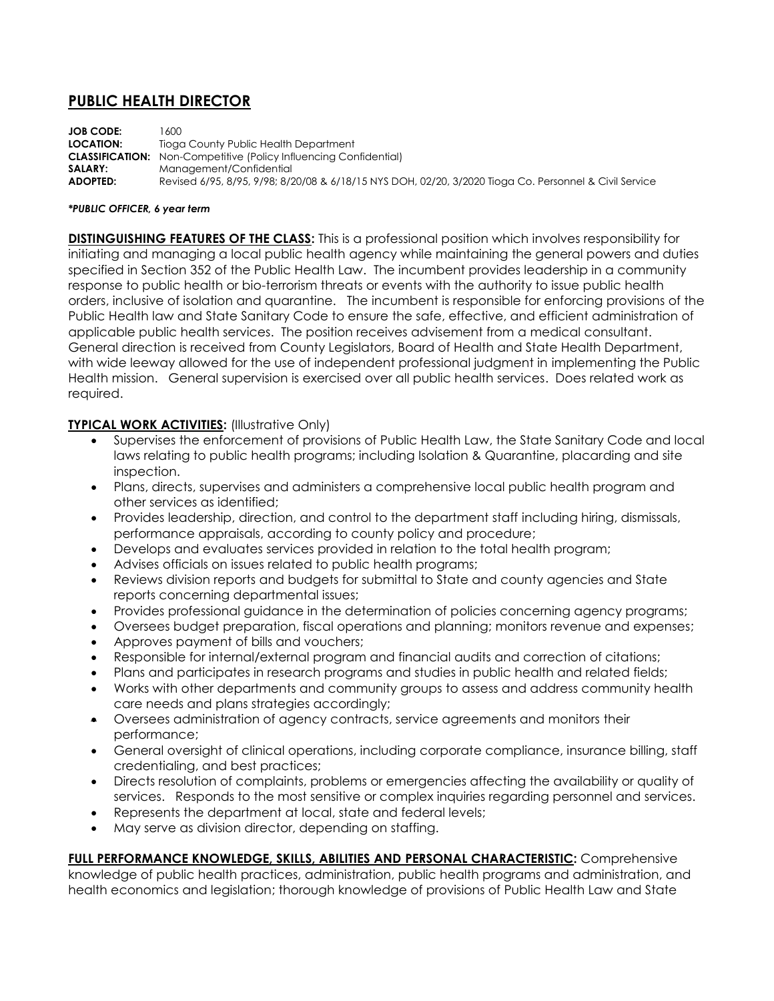# **PUBLIC HEALTH DIRECTOR**

**JOB CODE:** 1600 **LOCATION:** Tioga County Public Health Department **CLASSIFICATION:** Non-Competitive (Policy Influencing Confidential) **SALARY:** Management/Confidential **ADOPTED:** Revised 6/95, 8/95, 9/98; 8/20/08 & 6/18/15 NYS DOH, 02/20, 3/2020 Tioga Co. Personnel & Civil Service

#### *\*PUBLIC OFFICER, 6 year term*

**DISTINGUISHING FEATURES OF THE CLASS:** This is a professional position which involves responsibility for initiating and managing a local public health agency while maintaining the general powers and duties specified in Section 352 of the Public Health Law. The incumbent provides leadership in a community response to public health or bio-terrorism threats or events with the authority to issue public health orders, inclusive of isolation and quarantine. The incumbent is responsible for enforcing provisions of the Public Health law and State Sanitary Code to ensure the safe, effective, and efficient administration of applicable public health services. The position receives advisement from a medical consultant. General direction is received from County Legislators, Board of Health and State Health Department, with wide leeway allowed for the use of independent professional judgment in implementing the Public Health mission. General supervision is exercised over all public health services. Does related work as required.

### **TYPICAL WORK ACTIVITIES:** (Illustrative Only)

- Supervises the enforcement of provisions of Public Health Law, the State Sanitary Code and local laws relating to public health programs; including Isolation & Quarantine, placarding and site inspection.
- Plans, directs, supervises and administers a comprehensive local public health program and other services as identified;
- Provides leadership, direction, and control to the department staff including hiring, dismissals, performance appraisals, according to county policy and procedure;
- Develops and evaluates services provided in relation to the total health program;
- Advises officials on issues related to public health programs;
- Reviews division reports and budgets for submittal to State and county agencies and State reports concerning departmental issues;
- Provides professional guidance in the determination of policies concerning agency programs;
- Oversees budget preparation, fiscal operations and planning; monitors revenue and expenses;
- Approves payment of bills and vouchers;
- Responsible for internal/external program and financial audits and correction of citations;
- Plans and participates in research programs and studies in public health and related fields;
- Works with other departments and community groups to assess and address community health care needs and plans strategies accordingly;
- Oversees administration of agency contracts, service agreements and monitors their performance;
- General oversight of clinical operations, including corporate compliance, insurance billing, staff credentialing, and best practices;
- Directs resolution of complaints, problems or emergencies affecting the availability or quality of services. Responds to the most sensitive or complex inquiries regarding personnel and services.
- Represents the department at local, state and federal levels;
- May serve as division director, depending on staffing.

**FULL PERFORMANCE KNOWLEDGE, SKILLS, ABILITIES AND PERSONAL CHARACTERISTIC:** Comprehensive knowledge of public health practices, administration, public health programs and administration, and health economics and legislation; thorough knowledge of provisions of Public Health Law and State